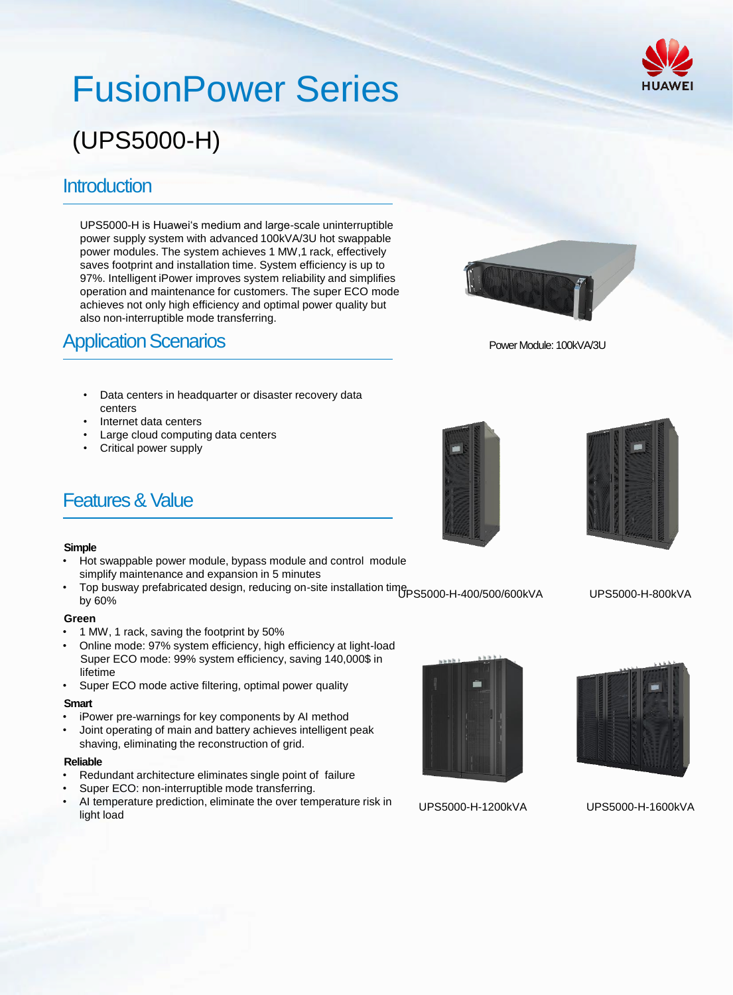# FusionPower Series

## (UPS5000-H)

## **Introduction**

UPS5000-H is Huawei's medium and large-scale uninterruptible power supply system with advanced 100kVA/3U hot swappable power modules. The system achieves 1 MW,1 rack, effectively saves footprint and installation time. System efficiency is up to 97%. Intelligent iPower improves system reliability and simplifies operation and maintenance for customers. The super ECO mode achieves not only high efficiency and optimal power quality but also non-interruptible mode transferring.

## **Application Scenarios**

- Data centers in headquarter or disaster recovery data centers
- Internet data centers
- Large cloud computing data centers
- Critical power supply

## Features & Value

#### **Simple**

- Hot swappable power module, bypass module and control module simplify maintenance and expansion in 5 minutes
- Top busway prefabricated design, reducing on-site installation time PS5000-H-400/500/600kVA UPS5000-H-800kVA by 60%

#### **Green**

- 1 MW, 1 rack, saving the footprint by 50%
- Online mode: 97% system efficiency, high efficiency at light-load Super ECO mode: 99% system efficiency, saving 140,000\$ in lifetime
- Super ECO mode active filtering, optimal power quality

#### **Smart**

- iPower pre-warnings for key components by AI method
- Joint operating of main and battery achieves intelligent peak shaving, eliminating the reconstruction of grid.

#### **Reliable**

- Redundant architecture eliminates single point of failure
- Super ECO: non-interruptible mode transferring.
- AI temperature prediction, eliminate the over temperature risk in light load



UPS5000-H-1200kVA

UPS5000-H-1600kVA



Power Module: 100kVA/3U